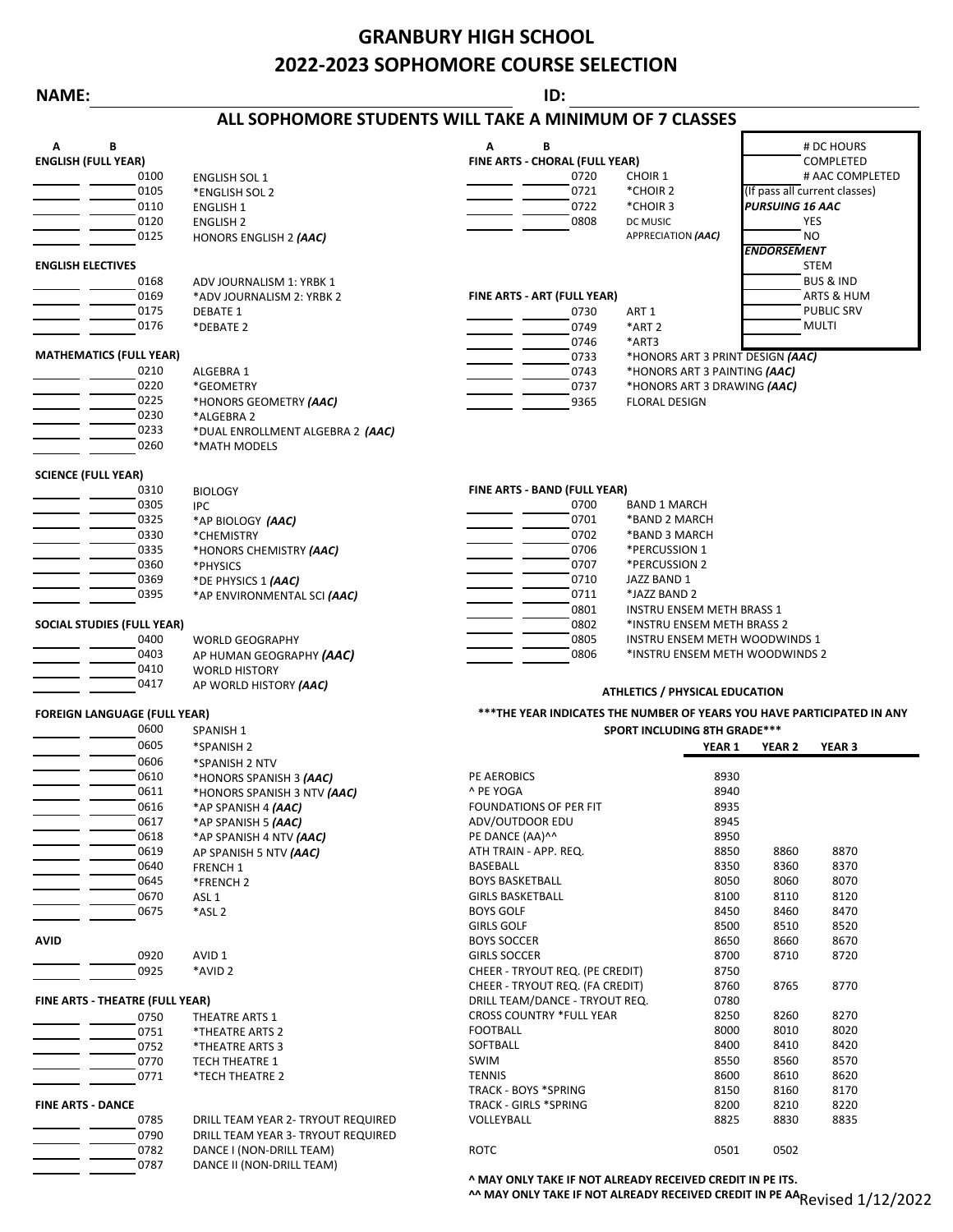# **GRANBURY HIGH SCHOOL 2022-2023 SOPHOMORE COURSE SELECTION**

### **NAME: ID:**

## **ALL SOPHOMORE STUDENTS WILL TAKE A MINIMUM OF 7 CLASSES**

| Α<br>В                              |      |                                  | В<br>Α                          |                                                                        |                        | # DC HOURS                    |  |  |
|-------------------------------------|------|----------------------------------|---------------------------------|------------------------------------------------------------------------|------------------------|-------------------------------|--|--|
| <b>ENGLISH (FULL YEAR)</b>          |      |                                  | FINE ARTS - CHORAL (FULL YEAR)  |                                                                        |                        | COMPLETED                     |  |  |
|                                     | 0100 | <b>ENGLISH SOL 1</b>             | 0720<br><b>CHOIR 1</b>          |                                                                        |                        | # AAC COMPLETED               |  |  |
|                                     | 0105 | *ENGLISH SOL 2                   | 0721<br>*CHOIR 2                |                                                                        |                        | (If pass all current classes) |  |  |
|                                     | 0110 | <b>ENGLISH 1</b>                 | 0722<br>*CHOIR 3                |                                                                        | <b>PURSUING 16 AAC</b> |                               |  |  |
|                                     | 0120 | <b>ENGLISH 2</b>                 | 0808<br>DC MUSIC                |                                                                        |                        | <b>YES</b>                    |  |  |
|                                     | 0125 | HONORS ENGLISH 2 (AAC)           |                                 | APPRECIATION (AAC)                                                     |                        | NO                            |  |  |
|                                     |      |                                  |                                 |                                                                        | <b>ENDORSEMENT</b>     |                               |  |  |
| <b>ENGLISH ELECTIVES</b>            |      |                                  |                                 |                                                                        |                        | STEM                          |  |  |
|                                     | 0168 | ADV JOURNALISM 1: YRBK 1         |                                 |                                                                        |                        | <b>BUS &amp; IND</b>          |  |  |
|                                     | 0169 | *ADV JOURNALISM 2: YRBK 2        | FINE ARTS - ART (FULL YEAR)     |                                                                        |                        | ARTS & HUM                    |  |  |
|                                     | 0175 | <b>DEBATE 1</b>                  | 0730<br>ART 1                   |                                                                        |                        | <b>PUBLIC SRV</b>             |  |  |
|                                     | 0176 | *DEBATE 2                        | 0749<br>*ART <sub>2</sub>       |                                                                        |                        | MULTI                         |  |  |
|                                     |      |                                  | 0746<br>*ART3                   |                                                                        |                        |                               |  |  |
| <b>MATHEMATICS (FULL YEAR)</b>      |      |                                  | 0733                            | *HONORS ART 3 PRINT DESIGN (AAC)                                       |                        |                               |  |  |
|                                     | 0210 | ALGEBRA 1                        | 0743                            | *HONORS ART 3 PAINTING (AAC)                                           |                        |                               |  |  |
|                                     | 0220 | *GEOMETRY                        | 0737                            | *HONORS ART 3 DRAWING (AAC)                                            |                        |                               |  |  |
|                                     | 0225 | *HONORS GEOMETRY (AAC)           | 9365                            | <b>FLORAL DESIGN</b>                                                   |                        |                               |  |  |
|                                     | 0230 | *ALGEBRA 2                       |                                 |                                                                        |                        |                               |  |  |
|                                     | 0233 | *DUAL ENROLLMENT ALGEBRA 2 (AAC) |                                 |                                                                        |                        |                               |  |  |
|                                     | 0260 | *MATH MODELS                     |                                 |                                                                        |                        |                               |  |  |
|                                     |      |                                  |                                 |                                                                        |                        |                               |  |  |
| <b>SCIENCE (FULL YEAR)</b>          | 0310 |                                  | FINE ARTS - BAND (FULL YEAR)    |                                                                        |                        |                               |  |  |
|                                     | 0305 | <b>BIOLOGY</b><br><b>IPC</b>     | 0700                            | <b>BAND 1 MARCH</b>                                                    |                        |                               |  |  |
|                                     | 0325 |                                  | 0701                            | *BAND 2 MARCH                                                          |                        |                               |  |  |
|                                     | 0330 | *AP BIOLOGY (AAC)<br>*CHEMISTRY  | 0702                            | *BAND 3 MARCH                                                          |                        |                               |  |  |
|                                     | 0335 | *HONORS CHEMISTRY (AAC)          | 0706                            | *PERCUSSION 1                                                          |                        |                               |  |  |
|                                     | 0360 | *PHYSICS                         | 0707                            | *PERCUSSION 2                                                          |                        |                               |  |  |
|                                     | 0369 | *DE PHYSICS 1 (AAC)              | 0710                            | JAZZ BAND 1                                                            |                        |                               |  |  |
|                                     | 0395 | *AP ENVIRONMENTAL SCI (AAC)      | 0711                            | *JAZZ BAND 2                                                           |                        |                               |  |  |
|                                     |      |                                  | 0801                            | INSTRU ENSEM METH BRASS 1                                              |                        |                               |  |  |
| <b>SOCIAL STUDIES (FULL YEAR)</b>   |      |                                  | 0802                            | *INSTRU ENSEM METH BRASS 2                                             |                        |                               |  |  |
|                                     | 0400 | <b>WORLD GEOGRAPHY</b>           | 0805                            | INSTRU ENSEM METH WOODWINDS 1                                          |                        |                               |  |  |
|                                     | 0403 | AP HUMAN GEOGRAPHY (AAC)         | 0806                            | *INSTRU ENSEM METH WOODWINDS 2                                         |                        |                               |  |  |
|                                     | 0410 | <b>WORLD HISTORY</b>             |                                 |                                                                        |                        |                               |  |  |
|                                     | 0417 | AP WORLD HISTORY (AAC)           |                                 |                                                                        |                        |                               |  |  |
|                                     |      |                                  |                                 | <b>ATHLETICS / PHYSICAL EDUCATION</b>                                  |                        |                               |  |  |
| <b>FOREIGN LANGUAGE (FULL YEAR)</b> |      |                                  |                                 | ***THE YEAR INDICATES THE NUMBER OF YEARS YOU HAVE PARTICIPATED IN ANY |                        |                               |  |  |
|                                     | 0600 | SPANISH <sub>1</sub>             |                                 | SPORT INCLUDING 8TH GRADE***                                           |                        |                               |  |  |
|                                     | 0605 | *SPANISH 2                       |                                 | <b>YEAR 1</b>                                                          | <b>YEAR 2</b>          | YEAR <sub>3</sub>             |  |  |
|                                     | 0606 | *SPANISH 2 NTV                   |                                 |                                                                        |                        |                               |  |  |
|                                     | 0610 | *HONORS SPANISH 3 (AAC)          | PE AEROBICS                     | 8930                                                                   |                        |                               |  |  |
|                                     | 0611 | *HONORS SPANISH 3 NTV (AAC)      | ^ PE YOGA                       | 8940                                                                   |                        |                               |  |  |
|                                     | 0616 | *AP SPANISH 4 (AAC)              | FOUNDATIONS OF PER FIT          | 8935                                                                   |                        |                               |  |  |
|                                     | 0617 | *AP SPANISH 5 <i>(AAC)</i>       | ADV/OUTDOOR EDU                 | 8945                                                                   |                        |                               |  |  |
|                                     | 0618 | *AP SPANISH 4 NTV (AAC)          | PE DANCE (AA)^^                 | 8950                                                                   |                        |                               |  |  |
|                                     | 0619 | AP SPANISH 5 NTV (AAC)           | ATH TRAIN - APP. REQ.           | 8850                                                                   | 8860                   | 8870                          |  |  |
|                                     | 0640 | <b>FRENCH 1</b>                  | <b>BASEBALL</b>                 | 8350                                                                   | 8360                   | 8370                          |  |  |
|                                     | 0645 | *FRENCH 2                        | <b>BOYS BASKETBALL</b>          | 8050                                                                   | 8060                   | 8070                          |  |  |
|                                     | 0670 | ASL <sub>1</sub>                 | <b>GIRLS BASKETBALL</b>         | 8100                                                                   | 8110                   | 8120                          |  |  |
|                                     | 0675 | *ASL 2                           | <b>BOYS GOLF</b>                | 8450                                                                   | 8460                   | 8470                          |  |  |
|                                     |      |                                  | <b>GIRLS GOLF</b>               | 8500                                                                   | 8510                   | 8520                          |  |  |
| <b>AVID</b>                         |      |                                  | <b>BOYS SOCCER</b>              | 8650                                                                   | 8660                   | 8670                          |  |  |
|                                     | 0920 | AVID <sub>1</sub>                | <b>GIRLS SOCCER</b>             | 8700                                                                   | 8710                   | 8720                          |  |  |
|                                     | 0925 | *AVID 2                          | CHEER - TRYOUT REQ. (PE CREDIT) | 8750                                                                   |                        |                               |  |  |
|                                     |      |                                  | CHEER - TRYOUT REQ. (FA CREDIT) | 8760                                                                   | 8765                   | 8770                          |  |  |
| FINE ARTS - THEATRE (FULL YEAR)     |      |                                  | DRILL TEAM/DANCE - TRYOUT REQ.  | 0780                                                                   |                        |                               |  |  |
|                                     | 0750 | THEATRE ARTS 1                   | <b>CROSS COUNTRY *FULL YEAR</b> | 8250                                                                   | 8260                   | 8270                          |  |  |
|                                     | 0751 | *THEATRE ARTS 2                  | <b>FOOTBALL</b>                 | 8000                                                                   | 8010                   | 8020                          |  |  |
|                                     | 0752 | *THEATRE ARTS 3                  | SOFTBALL                        | 8400                                                                   | 8410                   | 8420                          |  |  |
|                                     | 0770 | <b>TECH THEATRE 1</b>            | SWIM<br><b>TENNIS</b>           | 8550                                                                   | 8560                   | 8570                          |  |  |
|                                     | 0771 | *TECH THEATRE 2                  | TRACK - BOYS *SPRING            | 8600<br>8150                                                           | 8610<br>8160           | 8620<br>8170                  |  |  |
| <b>FINE ARTS - DANCE</b>            |      |                                  | <b>TRACK - GIRLS *SPRING</b>    | 8200                                                                   | 8210                   | 8220                          |  |  |
|                                     |      |                                  |                                 |                                                                        |                        |                               |  |  |

 $\mathcal{L}_{\mathcal{A}}$ 

 DRILL TEAM YEAR 2- TRYOUT REQUIRED VOLLEYBALL 8825 8830 8835 DRILL TEAM YEAR 3- TRYOUT REQUIRED 0782 DANCE I (NON-DRILL TEAM) ROTC **12000 PROTC** 0501 0502 DANCE II (NON-DRILL TEAM)

**^ MAY ONLY TAKE IF NOT ALREADY RECEIVED CREDIT IN PE ITS.**